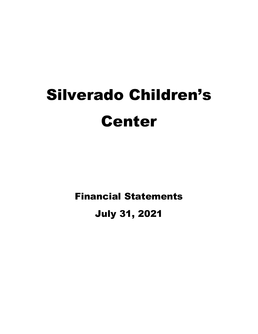# Silverado Children's Center

Financial Statements

## July 31, 2021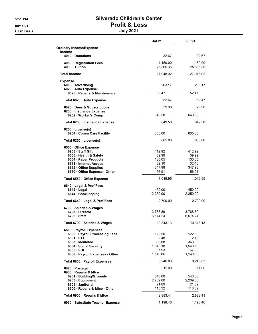#### 5:51 PM Silverado Children's Center 08/11/21 Profit & Loss Cash Basis July 2021

|                                                                               | <b>Jul 21</b>         | <b>Jul 21</b>         |
|-------------------------------------------------------------------------------|-----------------------|-----------------------|
| <b>Ordinary Income/Expense</b><br>Income                                      |                       |                       |
| 4010 Donations                                                                | 32.67                 | 32.67                 |
| 4080 · Registration Fees<br>4090 · Tuition                                    | 1,150.00<br>25,865.35 | 1,150.00<br>25,865.35 |
| <b>Total Income</b>                                                           | 27,048.02             | 27,048.02             |
| <b>Expense</b>                                                                |                       |                       |
| 6000 · Advertising<br>6020 · Auto Expense<br>6025 · Repairs & Maintenance     | 263.17<br>52.47       | 263.17<br>52.47       |
| Total 6020 · Auto Expense                                                     | 5247                  | 52.47                 |
|                                                                               |                       |                       |
| 6090 Dues & Subscriptions<br>6200 · Insurance Expense<br>6202 · Worker's Comp | 29.98<br>649.58       | 29.98<br>649.58       |
|                                                                               |                       |                       |
| Total 6200 · Insurance Expense                                                | 649.58                | 649.58                |
| $6250 \cdot \text{License(s)}$<br>6254 Comm Care Facility                     | 605.00                | 605.00                |
| Total 6250 · License(s)                                                       | 605.00                | 605.00                |
| 6550 Office Expense<br>6958 · Staff Gift                                      |                       | 412.92                |
| 6555 · Health & Safety                                                        | 412.92<br>39.99       | 39.99                 |
| 6554 · Paper Products                                                         | 130.05                | 130.05                |
| 6551 · Internet Access                                                        | 32.10                 | 32.10                 |
| 6552 · Office Supplies                                                        | 347.98                | 347.98                |
| 6550 · Office Expense - Other                                                 | 56.91                 | 56.91                 |
| Total 6550 · Office Expense                                                   | 1,019.95              | 1,019.95              |
| 6640 · Legal & Prof Fees                                                      |                       |                       |
| $6642 \cdot$ Legal                                                            | 450.00                | 450.00                |
| 6644 · Bookkeeping                                                            | 2,250.00              | 2,250.00              |
| Total 6640 Legal & Prof Fees                                                  | 2,700.00              | 2,700.00              |
| 6790 · Salaries & Wages                                                       |                       |                       |
| 6793 Director                                                                 | 3,768.89              | 3,768.89              |
| 6792 Staff                                                                    | 6,574.24              | 6,574.24              |
| Total 6790 · Salaries & Wages                                                 | 10,343.13             | 10,343.13             |
| 6800 · Payroll Expenses                                                       |                       |                       |
| 6806 · Payroll Processing Fees                                                | 122.50                | 122.50                |
| 6801 ETT                                                                      | 2.48                  | 2.48                  |
| 6803 · Medicare                                                               | 360.88                | 360.88                |
| 6804 · Social Security                                                        | 1,543.18              | 1,543.18              |
| 6805 · SUI                                                                    | 67.93                 | 67.93                 |
| 6800 · Payroll Expenses - Other                                               | 1,149.86              | 1,149.86              |
| Total 6800 · Payroll Expenses                                                 | 3,246.83              | 3,246.83              |
| 6820 · Postage<br>6900 · Repairs & Mtce                                       | 11.00                 | 11.00                 |
| 6901 · Building/Grounds                                                       | 540.00                | 540.00                |
| 6903 · Equipment                                                              | 2,209.00              | 2,209.00              |
| 6905 · Janitorial                                                             | 21.09                 | 21.09                 |
| 6900 · Repairs & Mtce - Other                                                 | 113.32                | 113.32                |
| Total 6900 · Repairs & Mtce                                                   | 2,883.41              | 2,883.41              |
| 6930 · Substitute Teacher Expense                                             | 1,198.46              | 1,198.46              |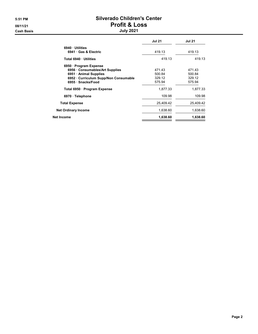#### 5:51 PM Silverado Children's Center 08/11/21 Profit & Loss Cash Basis July 2021

|                                       | <b>Jul 21</b> | <b>Jul 21</b> |
|---------------------------------------|---------------|---------------|
| 6940 Utilities                        |               |               |
| 6941 Gas & Electric                   | 419.13        | 419.13        |
| Total 6940 Utilities                  | 419.13        | 419.13        |
| 6950 · Program Expense                |               |               |
| 6956 Consumables/Art Supplies         | 471.43        | 471.43        |
| 6951 • Animal Supplies                | 500.84        | 500.84        |
| 6952 · Curriculum Supp/Non Consumable | 329.12        | 329.12        |
| 6955 · Snacks/Food                    | 575.94        | 575.94        |
| Total 6950 · Program Expense          | 1,877.33      | 1,877.33      |
| 6970 · Telephone                      | 109.98        | 109.98        |
| <b>Total Expense</b>                  | 25,409.42     | 25,409.42     |
| <b>Net Ordinary Income</b>            | 1,638.60      | 1,638.60      |
| Net Income                            | 1,638.60      | 1,638.60      |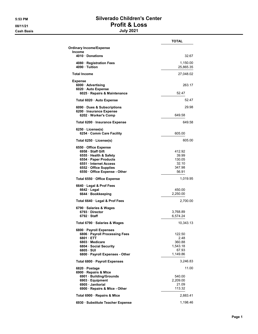#### 5:53 PM Silverado Children's Center 08/11/21 Profit & Loss Cash Basis July 2021

|                                                                                                                                                                                | <b>TOTAL</b>                                              |
|--------------------------------------------------------------------------------------------------------------------------------------------------------------------------------|-----------------------------------------------------------|
| <b>Ordinary Income/Expense</b>                                                                                                                                                 |                                                           |
| Income<br>4010 · Donations                                                                                                                                                     | 32.67                                                     |
| 4080 · Registration Fees<br>4090 Tuition                                                                                                                                       | 1,150.00<br>25,865.35                                     |
| <b>Total Income</b>                                                                                                                                                            | 27,048.02                                                 |
| <b>Expense</b>                                                                                                                                                                 |                                                           |
| 6000 Advertising<br>6020 · Auto Expense<br>6025 · Repairs & Maintenance                                                                                                        | 263.17<br>52.47                                           |
| Total 6020 · Auto Expense                                                                                                                                                      | 52.47                                                     |
| 6090 · Dues & Subscriptions<br>6200 · Insurance Expense<br>6202 · Worker's Comp                                                                                                | 29.98<br>649.58                                           |
| Total 6200 · Insurance Expense                                                                                                                                                 | 649.58                                                    |
| $6250 \cdot \text{License(s)}$                                                                                                                                                 |                                                           |
| 6254 Comm Care Facility                                                                                                                                                        | 605.00                                                    |
| Total 6250 · License(s)                                                                                                                                                        | 605.00                                                    |
| 6550 Office Expense<br>6958 · Staff Gift<br>6555 · Health & Safety<br>6554 · Paper Products<br>6551 Internet Access<br>6552 · Office Supplies<br>6550 · Office Expense - Other | 412.92<br>39.99<br>130.05<br>32.10<br>347.98<br>56.91     |
| Total 6550 · Office Expense                                                                                                                                                    | 1,019.95                                                  |
| 6640 · Legal & Prof Fees<br>$6642 \cdot$ Legal<br>6644 · Bookkeeping                                                                                                           | 450.00<br>2,250.00                                        |
| Total 6640 · Legal & Prof Fees                                                                                                                                                 | 2,700.00                                                  |
| 6790 · Salaries & Wages<br>6793 Director<br>$6792 \cdot$ Staff                                                                                                                 | 3,768.89<br>6,574.24                                      |
| Total 6790 · Salaries & Wages                                                                                                                                                  | 10,343.13                                                 |
| 6800 · Payroll Expenses<br>6806 · Payroll Processing Fees<br>6801 · ETT<br>6803 · Medicare<br>6804 · Social Security<br>6805 · SUI<br>6800 · Payroll Expenses - Other          | 122.50<br>2.48<br>360.88<br>1,543.18<br>67.93<br>1,149.86 |
| Total 6800 · Payroll Expenses                                                                                                                                                  | 3,246.83                                                  |
| 6820 · Postage<br>6900 · Repairs & Mtce<br>6901 · Building/Grounds<br>6903 · Equipment<br>6905 · Janitorial<br>6900 · Repairs & Mtce - Other                                   | 11.00<br>540.00<br>2,209.00<br>21.09<br>113.32            |
| Total 6900 · Repairs & Mtce                                                                                                                                                    | 2,883.41                                                  |
| 6930 · Substitute Teacher Expense                                                                                                                                              | 1,198.46                                                  |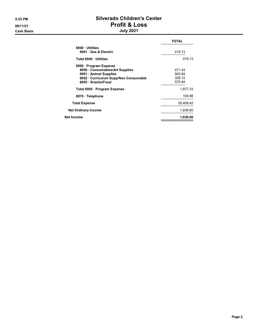#### 5:53 PM Silverado Children's Center 08/11/21 Profit & Loss Cash Basis July 2021

|                                       | <b>TOTAL</b> |
|---------------------------------------|--------------|
| 6940 Utilities                        |              |
| 6941 Gas & Electric                   | 419.13       |
| Total 6940 · Utilities                | 419.13       |
| 6950 · Program Expense                |              |
| 6956 Consumables/Art Supplies         | 471.43       |
| 6951 • Animal Supplies                | 500.84       |
| 6952 · Curriculum Supp/Non Consumable | 329.12       |
| 6955 · Snacks/Food                    | 575.94       |
| Total 6950 · Program Expense          | 1.877.33     |
| 6970 · Telephone                      | 109.98       |
| <b>Total Expense</b>                  | 25,409.42    |
| <b>Net Ordinary Income</b>            | 1,638.60     |
| Net Income                            | 1,638.60     |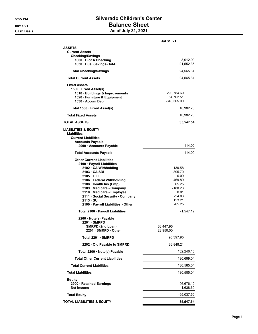#### 5:55 PM Silverado Children's Center 08/11/21 Balance Sheet Cash Basis **As of July 31, 2021**

|                                                                                                                                                                                                                                                                                                                                    | Jul 31, 21                                                                                                |
|------------------------------------------------------------------------------------------------------------------------------------------------------------------------------------------------------------------------------------------------------------------------------------------------------------------------------------|-----------------------------------------------------------------------------------------------------------|
| <b>ASSETS</b><br><b>Current Assets</b><br><b>Checking/Savings</b>                                                                                                                                                                                                                                                                  |                                                                                                           |
| 1000 B of A Checking<br>1030 Bus. Savings-BofA                                                                                                                                                                                                                                                                                     | 3,012.99<br>21,552.35                                                                                     |
| <b>Total Checking/Savings</b>                                                                                                                                                                                                                                                                                                      | 24,565.34                                                                                                 |
| <b>Total Current Assets</b>                                                                                                                                                                                                                                                                                                        | 24,565.34                                                                                                 |
| <b>Fixed Assets</b><br>1500 · Fixed Asset(s)<br>1510 · Buildings & Improvements<br>1520 Furniture & Equipment<br>1530 · Accum Depr                                                                                                                                                                                                 | 296,784.69<br>54,762.51<br>-340,565.00                                                                    |
| Total 1500 · Fixed Asset(s)                                                                                                                                                                                                                                                                                                        | 10,982.20                                                                                                 |
| <b>Total Fixed Assets</b>                                                                                                                                                                                                                                                                                                          | 10,982.20                                                                                                 |
| TOTAL ASSETS                                                                                                                                                                                                                                                                                                                       | 35,547.54                                                                                                 |
| <b>LIABILITIES &amp; EQUITY</b><br>Liabilities<br><b>Current Liabilities</b><br><b>Accounts Payable</b><br>2000 Accounts Payable                                                                                                                                                                                                   | $-114.00$                                                                                                 |
| <b>Total Accounts Payable</b>                                                                                                                                                                                                                                                                                                      | -114.00                                                                                                   |
| <b>Other Current Liabilities</b><br>2100 · Payroll Liabilities<br>2102 · CA Withholding<br>2103 CA SDI<br>2105 ETT<br>2106 · Federal Withholding<br>2108 · Health Ins (Emp)<br>2109 · Medicare - Company<br>2110 Medicare - Employee<br>2111 · Social Security - Company<br>$2113 \cdot SUI$<br>2100 · Payroll Liabilities - Other | $-130.58$<br>$-895.70$<br>0.09<br>-469.89<br>65.25<br>$-180.23$<br>0.01<br>$-24.03$<br>153.21<br>$-65.25$ |
| Total 2100 · Payroll Liabilities                                                                                                                                                                                                                                                                                                   | -1,547.12                                                                                                 |
| 2200 · Note(s) Payable<br>2201 SMRPD<br>SMRPD (2nd Loan)<br>2201 · SMRPD - Other                                                                                                                                                                                                                                                   | 66.447.95<br>28,950.00                                                                                    |
| Total 2201 · SMRPD                                                                                                                                                                                                                                                                                                                 | 95,397.95                                                                                                 |
| 2202 Old Payable to SMPRD                                                                                                                                                                                                                                                                                                          | 36,848.21                                                                                                 |
| Total 2200 · Note(s) Payable                                                                                                                                                                                                                                                                                                       | 132,246.16                                                                                                |
| <b>Total Other Current Liabilities</b>                                                                                                                                                                                                                                                                                             | 130,699.04                                                                                                |
| <b>Total Current Liabilities</b>                                                                                                                                                                                                                                                                                                   | 130,585.04                                                                                                |
| <b>Total Liabilities</b>                                                                                                                                                                                                                                                                                                           | 130,585.04                                                                                                |
| <b>Equity</b><br>3900 · Retained Earnings<br><b>Net Income</b>                                                                                                                                                                                                                                                                     | -96,676.10<br>1,638.60                                                                                    |
| <b>Total Equity</b>                                                                                                                                                                                                                                                                                                                | -95,037.50                                                                                                |
| <b>TOTAL LIABILITIES &amp; EQUITY</b>                                                                                                                                                                                                                                                                                              | 35,547.54                                                                                                 |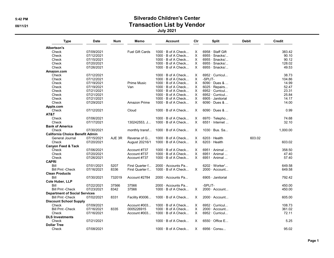#### 5:42 PM Silverado Children's Center 08/11/21 Contraction List by Vendor

July 2021

| <b>Type</b>                            | <b>Date</b> | Num    | Memo                   | Account                   | Cir      | Split                 | <b>Debit</b> | Credit   |
|----------------------------------------|-------------|--------|------------------------|---------------------------|----------|-----------------------|--------------|----------|
| Albertson's                            |             |        |                        |                           |          |                       |              |          |
| Check                                  | 07/09/2021  |        | <b>Fuel Gift Cards</b> | $1000 \cdot B$ of A Check | X        | 6958 · Staff Gift     |              | 383.42   |
| Check                                  | 07/12/2021  |        |                        | $1000 \cdot B$ of A Check | X        | 6955 · Snacks/        |              | 90.10    |
| Check                                  | 07/15/2021  |        |                        | $1000 \cdot B$ of A Check | $\times$ | $6955 \cdot$ Snacks/  |              | 90.12    |
| Check                                  | 07/20/2021  |        |                        | $1000 \cdot B$ of A Check | X        | $6955 \cdot$ Snacks/  |              | 128.02   |
| Check                                  | 07/26/2021  |        |                        | $1000 \cdot B$ of A Check | X        | 6955 · Snacks/        |              | 49.53    |
| Amazon.com                             |             |        |                        |                           |          |                       |              |          |
| Check                                  | 07/12/2021  |        |                        | $1000 \cdot B$ of A Check | X        | $6952 \cdot$ Curricul |              | 38.73    |
| Check                                  | 07/12/2021  |        |                        | $1000 \cdot B$ of A Check | X        | -SPLIT-               |              | 104.86   |
| Check                                  | 07/19/2021  |        | <b>Prime Music</b>     | $1000 \cdot B$ of A Check | X        | $6090 \cdot$ Dues &   |              | 14.99    |
| Check                                  | 07/19/2021  |        | Van                    | $1000 \cdot B$ of A Check | X.       | $6025 \cdot$ Repairs  |              | 52.47    |
| Check                                  |             |        |                        |                           | X        | 6952 · Curricul       |              | 23.31    |
|                                        | 07/21/2021  |        |                        | $1000 \cdot B$ of A Check |          |                       |              |          |
| Check                                  | 07/21/2021  |        |                        | $1000 \cdot B$ of A Check | X        | 6952 · Curricul       |              | 25.84    |
| Check                                  | 07/21/2021  |        |                        | $1000 \cdot B$ of A Check | X        | 6905 · Janitorial     |              | 14.17    |
| Check                                  | 07/29/2021  |        | Amazon Prime           | $1000 \cdot B$ of A Check | X        | $6090 \cdot$ Dues &   |              | 14.00    |
| Apple.com                              |             |        |                        |                           |          |                       |              |          |
| Check                                  | 07/12/2021  |        | Cloud                  | $1000 \cdot B$ of A Check | X        | $6090 \cdot$ Dues &   |              | 0.99     |
| AT&T                                   |             |        |                        |                           |          |                       |              |          |
| Check                                  | 07/06/2021  |        |                        | $1000 \cdot B$ of A Check | X        | 6970 · Telepho        |              | 74.68    |
| Check                                  | 07/17/2021  |        | 130242553, J           | $1000 \cdot B$ of A Check | $\times$ | $6551 \cdot$ Internet |              | 32.10    |
| <b>Bank of America</b>                 |             |        |                        |                           |          |                       |              |          |
| Check                                  | 07/30/2021  |        | monthly transf         | 1000 · B of A Check       | X        | $1030 \cdot$ Bus. Sa  |              | 1,000.00 |
| <b>California Choice Benefit Admin</b> |             |        |                        |                           |          |                       |              |          |
| General Journal                        | 07/15/2021  | AJE 3R | Reverse of G           | $1000 \cdot B$ of A Check | X.       | $6203 \cdot$ Health   | 603.02       |          |
| Check                                  | 07/20/2021  |        | August 20216/1         | $1000 \cdot B$ of A Check | $\times$ | $6203 \cdot$ Health   |              | 603.02   |
| <b>Canyon Feed &amp; Tack</b>          |             |        |                        |                           |          |                       |              |          |
| Check                                  | 07/06/2021  |        | Account #737           | $1000 \cdot B$ of A Check | X        | $6951 \cdot$ Animal   |              | 358.50   |
|                                        |             |        |                        |                           |          |                       |              |          |
| Check                                  | 07/20/2021  |        | Account #737           | $1000 \cdot B$ of A Check | X.       | $6951 \cdot$ Animal   |              | 47.40    |
| Check                                  | 07/26/2021  |        | Account #737           | $1000 \cdot B$ of A Check | $\times$ | $6951 \cdot$ Animal   |              | 57.40    |
| <b>CAPRI</b>                           |             |        |                        |                           |          |                       |              |          |
| Bill                                   | 07/01/2021  | 5207   | First Quarter f        | 2000 · Accounts Pa        |          | 6202 · Worker'        |              | 649.58   |
| <b>Bill Pmt -Check</b>                 | 07/16/2021  | 8336   | First Quarter f        | $1000 \cdot B$ of A Check | X.       | 2000 · Account        |              | 649.58   |
| <b>Clean Products</b>                  |             |        |                        |                           |          |                       |              |          |
| Bill                                   | 07/30/2021  | 732019 | Account #2784          | 2000 Accounts Pa          |          | 6905 · Janitorial     |              | 792.42   |
| Cole Huber, LLP                        |             |        |                        |                           |          |                       |              |          |
| Bill                                   | 07/22/2021  | 37566  | 37566                  | 2000 Accounts Pa          |          | -SPLIT-               |              | 450.00   |
| <b>Bill Pmt - Check</b>                | 07/23/2021  | 8342   | 37566                  | 1000 · B of A Check       | X        | 2000 · Account        |              | 450.00   |
| <b>Department of Social Services</b>   |             |        |                        |                           |          |                       |              |          |
| <b>Bill Pmt -Check</b>                 | 07/02/2021  | 8331   | Facility #3006         | $1000 \cdot B$ of A Check | X        | $2000 \cdot$ Account  |              | 605.00   |
| <b>Discount School Supply</b>          |             |        |                        |                           |          |                       |              |          |
|                                        |             |        |                        |                           |          |                       |              | 108.73   |
| Check                                  | 07/09/2021  |        | Account $\#003$        | $1000 \cdot B$ of A Check | X        | $6952 \cdot$ Curricul |              |          |
| <b>Bill Pmt -Check</b>                 | 07/16/2021  | 8335   | 0005226915             | $1000 \cdot B$ of A Check | X        | $2000 \cdot$ Account  |              | 361.02   |
| Check                                  | 07/16/2021  |        | Account #003           | $1000 \cdot B$ of A Check | $\times$ | 6952 · Curricul       |              | 72.11    |
| <b>DLS Investments</b>                 |             |        |                        |                           |          |                       |              |          |
| Check                                  | 07/21/2021  |        |                        | $1000 \cdot B$ of A Check | X        | $6550 \cdot$ Office E |              | 5.25     |
| <b>Dollar Tree</b>                     |             |        |                        |                           |          |                       |              |          |
| Check                                  | 07/08/2021  |        |                        | $1000 \cdot B$ of A Check | X.       | $6956 \cdot$ Consu    |              | 95.02    |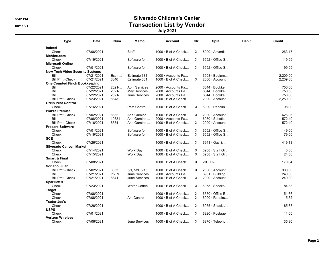#### 5:42 PM Silverado Children's Center 08/11/21 Contraction List by Vendor

July 2021

| <b>Type</b>                            | <b>Date</b> | <b>Num</b> | Memo                     | <b>Account</b>            | Cir      |         | <b>Split</b>               | <b>Debit</b> | <b>Credit</b> |
|----------------------------------------|-------------|------------|--------------------------|---------------------------|----------|---------|----------------------------|--------------|---------------|
| Indeed                                 |             |            |                          |                           |          |         |                            |              |               |
| Check                                  | 07/06/2021  |            | <b>Staff</b>             | $1000 \cdot B$ of A Check | X.       |         | $6000 \cdot$ Advertis      |              | 263.17        |
| McAfee.com                             |             |            |                          |                           |          |         |                            |              |               |
| Check                                  | 07/19/2021  |            | Software for             | $1000 \cdot B$ of A Check | X.       |         | $6552 \cdot$ Office S      |              | 119.99        |
| <b>Microsoft Online</b>                |             |            |                          |                           |          |         |                            |              |               |
| Check                                  | 07/01/2021  |            | Software for             | $1000 \cdot B$ of A Check | $\times$ |         | $6552 \cdot$ Office S      |              | 99.99         |
| <b>New-Tech Video Security Systems</b> |             |            |                          |                           |          |         |                            |              |               |
| Bill                                   | 07/21/2021  | Estim      | Estimate 381             | $2000 \cdot$ Accounts Pa  |          |         | $6903 \cdot$ Equipm        |              | 2,209.00      |
| <b>Bill Pmt -Check</b>                 | 07/21/2021  | 8340       | Estimate 381             | $1000 \cdot B$ of A Check | X.       |         | $2000 \cdot$ Account       |              | 2,209.00      |
| <b>One Counted Finch Bookkeeping</b>   |             |            |                          |                           |          |         |                            |              |               |
| Bill                                   | 07/22/2021  | 2021       | <b>April Services</b>    | 2000 Accounts Pa          |          |         | 6644 · Bookke              |              | 750.00        |
| Bill                                   | 07/22/2021  | 2021       | May Services             | 2000 · Accounts Pa        |          |         | $6644 \cdot \text{Bookke}$ |              | 750.00        |
| Bill                                   | 07/22/2021  | 2021       | <b>June Services</b>     | 2000 · Accounts Pa        |          |         | $6644 \cdot \text{Bookke}$ |              | 750.00        |
| <b>Bill Pmt -Check</b>                 | 07/23/2021  | 8343       |                          | $1000 \cdot B$ of A Check |          |         | $2000 \cdot$ Account       |              | 2,250.00      |
| <b>Orkin Pest Control</b>              |             |            |                          |                           |          |         |                            |              |               |
| Check                                  | 07/16/2021  |            | Pest Control             | 1000 · B of A Check       | X        |         | 6900 $\cdot$ Repairs       |              | 98.00         |
| <b>Piazza Premier</b>                  |             |            |                          |                           |          |         |                            |              |               |
| <b>Bill Pmt -Check</b>                 | 07/02/2021  | 8332       | Ana Gamino               | $1000 \cdot B$ of A Check | X        |         | $2000 \cdot$ Account       |              | 626.06        |
| Bill                                   | 07/06/2021  | 10381      | Ana Gamino               | 2000 · Accounts Pa        |          |         | $6930 \cdot Substitu$      |              | 572.40        |
| <b>Bill Pmt -Check</b>                 | 07/16/2021  | 8334       | Ana Gamino               | $1000 \cdot B$ of A Check | X.       |         | $2000 \cdot$ Account       |              | 572.40        |
| <b>Procare Software</b>                |             |            |                          |                           |          |         |                            |              |               |
| Check                                  | 07/01/2021  |            | Software for             | $1000 \cdot B$ of A Check | X        |         | $6552 \cdot$ Office S      |              | 49.00         |
| Check                                  | 07/19/2021  |            | Software for             | $1000 \cdot B$ of A Check | X        |         | $6552 \cdot$ Office S      |              | 79.00         |
|                                        |             |            |                          |                           |          |         |                            |              |               |
| <b>SCE</b>                             |             |            |                          |                           |          |         |                            |              |               |
| Check                                  | 07/26/2021  |            |                          | $1000 \cdot B$ of A Check | X        |         | $6941 \cdot$ Gas &         |              | 419.13        |
| Silverado Canyon Market                |             |            |                          |                           |          |         |                            |              |               |
| Check                                  | 07/14/2021  |            | Work Day                 | $1000 \cdot B$ of A Check | X.       |         | 6958 · Staff Gift          |              | 5.00          |
| Check                                  | 07/15/2021  |            | Work Day                 | $1000 \cdot B$ of A Check | $\times$ |         | 6958 · Staff Gift          |              | 24.50         |
| <b>Smart &amp; Final</b>               |             |            |                          |                           |          |         |                            |              |               |
| Check                                  | 07/08/2021  |            |                          | $1000 \cdot B$ of A Check | X.       | -SPLIT- |                            |              | 170.04        |
| Soriano, Juan                          |             |            |                          |                           |          |         |                            |              |               |
| <b>Bill Pmt -Check</b>                 | 07/02/2021  | 8333       | $5/1, 5/8, 5/15, \ldots$ | $1000 \cdot B$ of A Check | X.       |         | $2000 \cdot$ Account       |              | 300.00        |
| Bill                                   | 07/21/2021  | Inv 7/     | June Services            | 2000 · Accounts Pa        |          |         | $6901 \cdot$ Building      |              | 240.00        |
| <b>Bill Pmt -Check</b>                 | 07/21/2021  | 8341       | <b>June Services</b>     | $1000 \cdot B$ of A Check | X.       |         | $2000 \cdot$ Account       |              | 240.00        |
| Sparklett's                            |             |            |                          |                           |          |         |                            |              |               |
| Check                                  | 07/23/2021  |            | Water-Coffee             | $1000 \cdot B$ of A Check | X.       |         | 6955 · Snacks/             |              | 84.83         |
| <b>Target</b>                          |             |            |                          |                           |          |         |                            |              |               |
| Check                                  | 07/08/2021  |            |                          | $1000 \cdot B$ of A Check | X        |         | $6550 \cdot$ Office E      |              | 51.66         |
| Check                                  | 07/08/2021  |            | <b>Ant Control</b>       | $1000 \cdot B$ of A Check | X        |         | 6900 $\cdot$ Repairs       |              | 15.32         |
| <b>Trader Joe's</b>                    |             |            |                          |                           |          |         |                            |              |               |
| Check                                  | 07/26/2021  |            |                          | $1000 \cdot B$ of A Check | X        |         | $6955 \cdot$ Snacks/       |              | 85.63         |
| <b>USPS</b>                            |             |            |                          |                           |          |         |                            |              |               |
| Check                                  | 07/01/2021  |            |                          | $1000 \cdot B$ of A Check | X        |         | $6820 \cdot$ Postage       |              | 11.00         |
|                                        |             |            |                          |                           |          |         |                            |              |               |
| <b>Verizon Wireless</b>                |             |            |                          |                           |          |         |                            |              |               |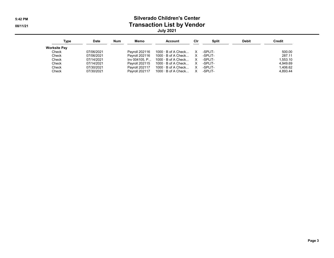#### 5:42 PM Silverado Children's Center 08/11/21 Contraction List by Vendor July 2021

| Type         | Date       | <b>Num</b> | Memo                  | <b>Account</b>                             | Cir          | Split   | <b>Debit</b> | Credit   |
|--------------|------------|------------|-----------------------|--------------------------------------------|--------------|---------|--------------|----------|
| Worksite Pav |            |            |                       |                                            |              |         |              |          |
| Check        | 07/06/2021 |            | Pavroll 202116        | 1000 · B of A Check  X                     |              | -SPLIT- |              | 500.00   |
| Check        | 07/06/2021 |            |                       | Pavroll 202116 $1000 \cdot B$ of A Check X |              | -SPLIT- |              | 287.11   |
| Check        | 07/14/2021 |            |                       | $Inv 004105. P 1000. B of A Check X$       |              | -SPLIT- |              | 1.553.10 |
| Check        | 07/14/2021 |            | Pavroll 202115        | 1000 $\cdot$ B of A Check                  | $\mathsf{X}$ | -SPLIT- |              | 4.949.69 |
| Check        | 07/30/2021 |            | <b>Pavroll 202117</b> | $1000 \cdot B$ of A Check                  | $\mathsf{X}$ | -SPLIT- |              | 1,406.62 |
| Check        | 07/30/2021 |            | <b>Pavroll 202117</b> | $1000 \cdot B$ of A Check                  | $\mathsf{X}$ | -SPLIT- |              | 4.893.44 |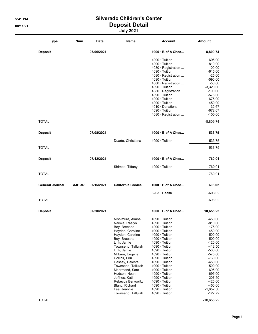#### 5:41 PM Silverado Children's Center 08/11/21 Deposit Detail July 2021

| <b>Type</b>            | Num    | Date       | Name                             | <b>Account</b>                               | <b>Amount</b>           |
|------------------------|--------|------------|----------------------------------|----------------------------------------------|-------------------------|
| <b>Deposit</b>         |        | 07/06/2021 |                                  | 1000 B of A Chec                             | 8,809.74                |
|                        |        |            |                                  | $4090 \cdot$ Tuition                         | $-695.00$               |
|                        |        |            |                                  | $4090 \cdot$ Tuition                         | $-810.00$               |
|                        |        |            |                                  | 4080 · Registration                          | $-100.00$               |
|                        |        |            |                                  | $4090 \cdot$ Tuition                         | $-615.00$               |
|                        |        |            |                                  | 4080 · Registration                          | $-25.00$                |
|                        |        |            |                                  | $4090 \cdot$ Tuition<br>4080 · Registration  | $-590.00$               |
|                        |        |            |                                  | 4090 · Tuition                               | $-50.00$<br>$-3,320.00$ |
|                        |        |            |                                  | 4080 · Registration                          | $-100.00$               |
|                        |        |            |                                  | $4090 \cdot$ Tuition                         | $-575.00$               |
|                        |        |            |                                  | 4090 · Tuition                               | $-675.00$               |
|                        |        |            |                                  | $4090 \cdot$ Tuition                         | $-450.00$               |
|                        |        |            |                                  | $4010 \cdot$ Donations                       | $-32.67$                |
|                        |        |            |                                  | $4090 \cdot$ Tuition                         | $-672.07$               |
|                        |        |            |                                  | 4080 · Registration                          | $-100.00$               |
| <b>TOTAL</b>           |        |            |                                  |                                              | $-8,809.74$             |
| <b>Deposit</b>         |        | 07/08/2021 |                                  | 1000 B of A Chec                             | 533.75                  |
|                        |        |            | Duarte, Christiana               | $4090 \cdot$ Tuition                         | $-533.75$               |
| <b>TOTAL</b>           |        |            |                                  |                                              | $-533.75$               |
| <b>Deposit</b>         |        | 07/12/2021 |                                  | $1000 \cdot B$ of A Chec                     | 760.01                  |
|                        |        |            | Shimbo, Tiffany                  | $4090 \cdot$ Tuition                         | $-760.01$               |
| <b>TOTAL</b>           |        |            |                                  |                                              | -760.01                 |
| <b>General Journal</b> | AJE 3R | 07/15/2021 | California Choice                | $1000 \cdot B$ of A Chec                     | 603.02                  |
|                        |        |            |                                  | $6203 \cdot$ Health                          | $-603.02$               |
| <b>TOTAL</b>           |        |            |                                  |                                              | $-603.02$               |
| <b>Deposit</b>         |        | 07/20/2021 |                                  | 1000 B of A Chec                             | 10,655.22               |
|                        |        |            | Nishimura, Akane                 | $4090 \cdot$ Tuition                         | $-450.00$               |
|                        |        |            | Naimie, Raelyn                   | $4090 \cdot$ Tuition                         | $-810.00$               |
|                        |        |            | Bey, Breeana                     | $4090 \cdot$ Tuition                         | $-175.00$               |
|                        |        |            | Hayden, Caroline                 | $4090 \cdot$ Tuition                         | $-450.00$               |
|                        |        |            | Hayden, Caroline                 | $4090 \cdot$ Tuition                         | $-500.00$               |
|                        |        |            | Bey, Breeana                     | $4090 \cdot$ Tuition                         | $-500.00$               |
|                        |        |            | Link, Jamie                      | $4090 \cdot$ Tuition                         | $-120.00$               |
|                        |        |            | Townsend, Tallulah               | $4090 \cdot$ Tuition                         | $-412.50$               |
|                        |        |            | Link, Jamie                      | 4090 · Tuition                               | $-500.00$               |
|                        |        |            | Milburn, Eugene                  | $4090 \cdot$ Tuition                         | $-575.00$               |
|                        |        |            | Collins, Erin<br>Hassey, Celeste | $4090 \cdot$ Tuition<br>$4090 \cdot$ Tuition | $-760.00$<br>$-450.00$  |
|                        |        |            | Townsend, Tallulah               | $4090 \cdot$ Tuition                         | $-500.00$               |
|                        |        |            | Mehrmand, Sara                   | $4090 \cdot$ Tuition                         | $-695.00$               |
|                        |        |            | Hudson, Noah                     | $4090 \cdot$ Tuition                         | $-695.00$               |
|                        |        |            | Jeffries, Kati                   | $4090 \cdot$ Tuition                         | $-207.50$               |
|                        |        |            | Rebecca Berkowitz                | $4090 \cdot$ Tuition                         | $-425.00$               |
|                        |        |            | Blanc, Richard                   | $4090 \cdot$ Tuition                         | $-450.00$               |
|                        |        |            | Lee, Jeannie                     | $4090 \cdot$ Tuition                         | $-1,852.50$             |
|                        |        |            | Townsend, Tallulah               | $4090 \cdot$ Tuition                         | -127.72                 |

 $\blacksquare$  TOTAL -10,655.22